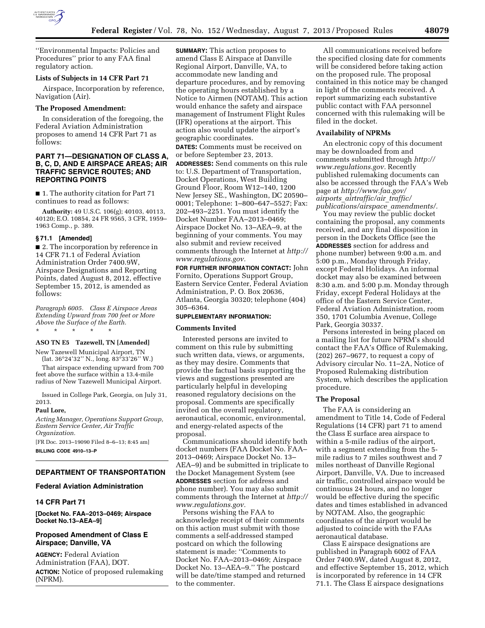

''Environmental Impacts: Policies and Procedures'' prior to any FAA final regulatory action.

# **Lists of Subjects in 14 CFR Part 71**

Airspace, Incorporation by reference, Navigation (Air).

## **The Proposed Amendment:**

In consideration of the foregoing, the Federal Aviation Administration proposes to amend 14 CFR Part 71 as follows:

# **PART 71—DESIGNATION OF CLASS A, B, C, D, AND E AIRSPACE AREAS; AIR TRAFFIC SERVICE ROUTES; AND REPORTING POINTS**

■ 1. The authority citation for Part 71 continues to read as follows:

**Authority:** 49 U.S.C. 106(g); 40103, 40113, 40120; E.O. 10854, 24 FR 9565, 3 CFR, 1959– 1963 Comp., p. 389.

#### **§ 71.1 [Amended]**

■ 2. The incorporation by reference in 14 CFR 71.1 of Federal Aviation Administration Order 7400.9W, Airspace Designations and Reporting Points, dated August 8, 2012, effective September 15, 2012, is amended as follows:

*Paragraph 6005. Class E Airspace Areas Extending Upward from 700 feet or More Above the Surface of the Earth.* 

\* \* \* \* \*

#### **ASO TN E5 Tazewell, TN [Amended]**

New Tazewell Municipal Airport, TN (lat. 36°24'32'' N., long. 83°33'26'' W.)

That airspace extending upward from 700 feet above the surface within a 13.4-mile radius of New Tazewell Municipal Airport.

Issued in College Park, Georgia, on July 31, 2013.

#### **Paul Lore,**

*Acting Manager, Operations Support Group, Eastern Service Center, Air Traffic Organization.* 

[FR Doc. 2013–19090 Filed 8–6–13; 8:45 am] **BILLING CODE 4910–13–P** 

## **DEPARTMENT OF TRANSPORTATION**

# **Federal Aviation Administration**

## **14 CFR Part 71**

**[Docket No. FAA–2013–0469; Airspace Docket No.13–AEA–9]** 

# **Proposed Amendment of Class E Airspace; Danville, VA**

**AGENCY:** Federal Aviation Administration (FAA), DOT. **ACTION:** Notice of proposed rulemaking (NPRM).

**SUMMARY:** This action proposes to amend Class E Airspace at Danville Regional Airport, Danville, VA, to accommodate new landing and departure procedures, and by removing the operating hours established by a Notice to Airmen (NOTAM). This action would enhance the safety and airspace management of Instrument Flight Rules (IFR) operations at the airport. This action also would update the airport's geographic coordinates.

**DATES:** Comments must be received on or before September 23, 2013.

**ADDRESSES:** Send comments on this rule to: U.S. Department of Transportation, Docket Operations, West Building Ground Floor, Room W12–140, 1200 New Jersey SE., Washington, DC 20590– 0001; Telephone: 1–800–647–5527; Fax: 202–493–2251. You must identify the Docket Number FAA–2013–0469; Airspace Docket No. 13–AEA–9, at the beginning of your comments. You may also submit and review received comments through the Internet at *http:// www.regulations.gov.* 

**FOR FURTHER INFORMATION CONTACT:** John Fornito, Operations Support Group, Eastern Service Center, Federal Aviation Administration, P. O. Box 20636, Atlanta, Georgia 30320; telephone (404) 305–6364.

#### **SUPPLEMENTARY INFORMATION:**

# **Comments Invited**

Interested persons are invited to comment on this rule by submitting such written data, views, or arguments, as they may desire. Comments that provide the factual basis supporting the views and suggestions presented are particularly helpful in developing reasoned regulatory decisions on the proposal. Comments are specifically invited on the overall regulatory, aeronautical, economic, environmental, and energy-related aspects of the proposal.

Communications should identify both docket numbers (FAA Docket No. FAA– 2013–0469; Airspace Docket No. 13– AEA–9) and be submitted in triplicate to the Docket Management System (see **ADDRESSES** section for address and phone number). You may also submit comments through the Internet at *http:// www.regulations.gov.* 

Persons wishing the FAA to acknowledge receipt of their comments on this action must submit with those comments a self-addressed stamped postcard on which the following statement is made: ''Comments to Docket No. FAA–2013–0469; Airspace Docket No. 13–AEA–9.'' The postcard will be date/time stamped and returned to the commenter.

All communications received before the specified closing date for comments will be considered before taking action on the proposed rule. The proposal contained in this notice may be changed in light of the comments received. A report summarizing each substantive public contact with FAA personnel concerned with this rulemaking will be filed in the docket.

#### **Availability of NPRMs**

An electronic copy of this document may be downloaded from and comments submitted through *http:// www.regulations.gov.* Recently published rulemaking documents can also be accessed through the FAA's Web page at *http://www.faa.gov/ airports*\_*airtraffic/air*\_*traffic/ publications/airspace*\_*amendments/.* 

You may review the public docket containing the proposal, any comments received, and any final disposition in person in the Dockets Office (see the **ADDRESSES** section for address and phone number) between 9:00 a.m. and 5:00 p.m., Monday through Friday, except Federal Holidays. An informal docket may also be examined between 8:30 a.m. and 5:00 p.m. Monday through Friday, except Federal Holidays at the office of the Eastern Service Center, Federal Aviation Administration, room 350, 1701 Columbia Avenue, College Park, Georgia 30337.

Persons interested in being placed on a mailing list for future NPRM's should contact the FAA's Office of Rulemaking, (202) 267–9677, to request a copy of Advisory circular No. 11–2A, Notice of Proposed Rulemaking distribution System, which describes the application procedure.

#### **The Proposal**

The FAA is considering an amendment to Title 14, Code of Federal Regulations (14 CFR) part 71 to amend the Class E surface area airspace to within a 5-mile radius of the airport, with a segment extending from the 5 mile radius to 7 miles southwest and 7 miles northeast of Danville Regional Airport, Danville, VA. Due to increased air traffic, controlled airspace would be continuous 24 hours, and no longer would be effective during the specific dates and times established in advanced by NOTAM. Also, the geographic coordinates of the airport would be adjusted to coincide with the FAAs aeronautical database.

Class E airspace designations are published in Paragraph 6002 of FAA Order 7400.9W, dated August 8, 2012, and effective September 15, 2012, which is incorporated by reference in 14 CFR 71.1. The Class E airspace designations